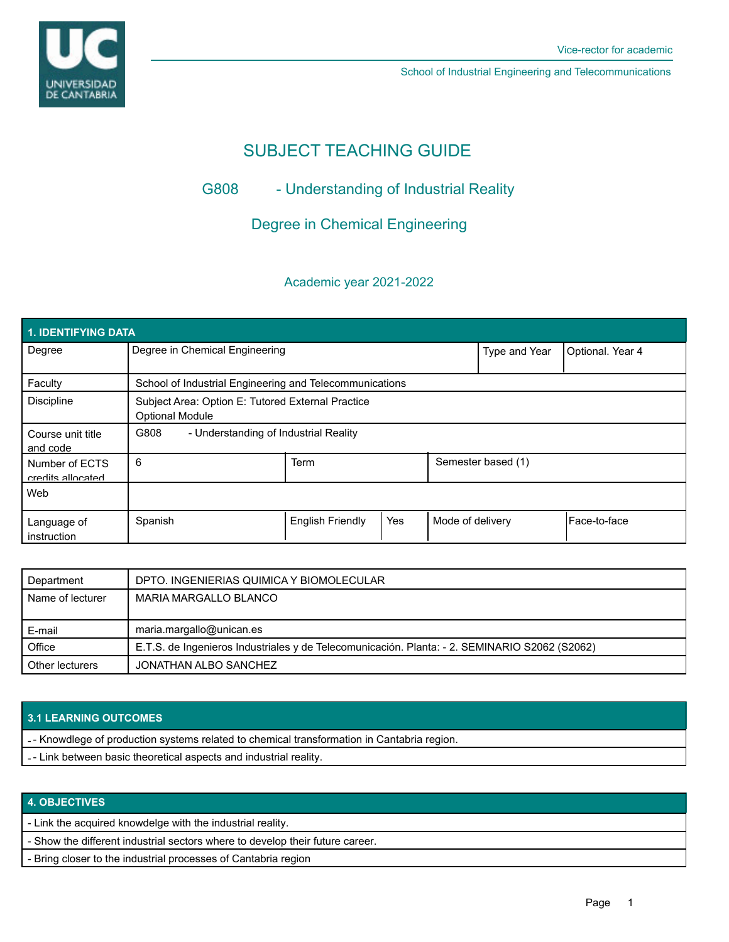

School of Industrial Engineering and Telecommunications

# SUBJECT TEACHING GUIDE

# G808 - Understanding of Industrial Reality

Degree in Chemical Engineering

## Academic year 2021-2022

| <b>1. IDENTIFYING DATA</b>          |                                                                             |                         |     |                  |                    |              |  |  |  |
|-------------------------------------|-----------------------------------------------------------------------------|-------------------------|-----|------------------|--------------------|--------------|--|--|--|
| Degree                              | Degree in Chemical Engineering                                              |                         |     | Type and Year    | Optional. Year 4   |              |  |  |  |
| Faculty                             | School of Industrial Engineering and Telecommunications                     |                         |     |                  |                    |              |  |  |  |
| Discipline                          | Subject Area: Option E: Tutored External Practice<br><b>Optional Module</b> |                         |     |                  |                    |              |  |  |  |
| Course unit title<br>and code       | G808<br>- Understanding of Industrial Reality                               |                         |     |                  |                    |              |  |  |  |
| Number of ECTS<br>credits allocated | 6                                                                           | Term                    |     |                  | Semester based (1) |              |  |  |  |
| Web                                 |                                                                             |                         |     |                  |                    |              |  |  |  |
| Language of<br>instruction          | Spanish                                                                     | <b>English Friendly</b> | Yes | Mode of delivery |                    | Face-to-face |  |  |  |

| Department       | DPTO. INGENIERIAS QUIMICA Y BIOMOLECULAR                                                      |  |  |
|------------------|-----------------------------------------------------------------------------------------------|--|--|
| Name of lecturer | MARIA MARGALLO BLANCO                                                                         |  |  |
|                  |                                                                                               |  |  |
|                  |                                                                                               |  |  |
| E-mail           | maria.margallo@unican.es                                                                      |  |  |
| Office           | E.T.S. de Ingenieros Industriales y de Telecomunicación. Planta: - 2. SEMINARIO S2062 (S2062) |  |  |

### **3.1 LEARNING OUTCOMES**

- - Knowdlege of production systems related to chemical transformation in Cantabria region.
- - Link between basic theoretical aspects and industrial reality.

#### **4. OBJECTIVES**

- Link the acquired knowdelge with the industrial reality.

- Show the different industrial sectors where to develop their future career.

- Bring closer to the industrial processes of Cantabria region